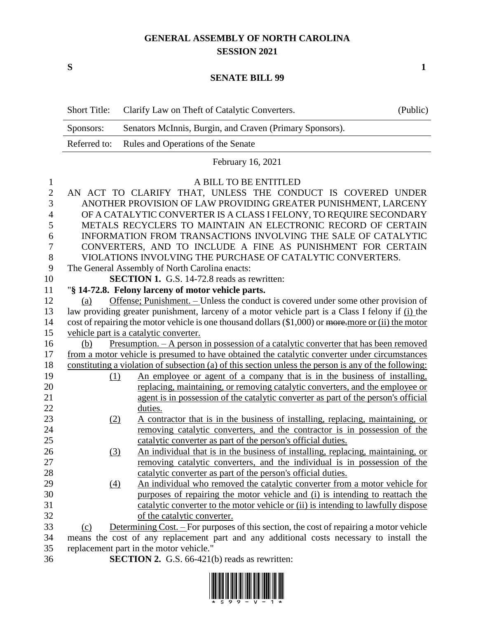## **GENERAL ASSEMBLY OF NORTH CAROLINA SESSION 2021**

**S 1**

## **SENATE BILL 99**

|                | <b>Short Title:</b>                                                                                  | Clarify Law on Theft of Catalytic Converters.                                                         | (Public) |  |  |  |
|----------------|------------------------------------------------------------------------------------------------------|-------------------------------------------------------------------------------------------------------|----------|--|--|--|
|                | Sponsors:                                                                                            | Senators McInnis, Burgin, and Craven (Primary Sponsors).                                              |          |  |  |  |
|                | Referred to:                                                                                         | Rules and Operations of the Senate                                                                    |          |  |  |  |
|                |                                                                                                      | February 16, 2021                                                                                     |          |  |  |  |
| 1              |                                                                                                      | A BILL TO BE ENTITLED                                                                                 |          |  |  |  |
| $\overline{2}$ |                                                                                                      | AN ACT TO CLARIFY THAT, UNLESS THE CONDUCT IS COVERED UNDER                                           |          |  |  |  |
| 3              |                                                                                                      | ANOTHER PROVISION OF LAW PROVIDING GREATER PUNISHMENT, LARCENY                                        |          |  |  |  |
| $\overline{4}$ | OF A CATALYTIC CONVERTER IS A CLASS I FELONY, TO REQUIRE SECONDARY                                   |                                                                                                       |          |  |  |  |
| 5              | METALS RECYCLERS TO MAINTAIN AN ELECTRONIC RECORD OF CERTAIN                                         |                                                                                                       |          |  |  |  |
| 6              | INFORMATION FROM TRANSACTIONS INVOLVING THE SALE OF CATALYTIC                                        |                                                                                                       |          |  |  |  |
| 7              |                                                                                                      | CONVERTERS, AND TO INCLUDE A FINE AS PUNISHMENT FOR CERTAIN                                           |          |  |  |  |
| 8              |                                                                                                      | VIOLATIONS INVOLVING THE PURCHASE OF CATALYTIC CONVERTERS.                                            |          |  |  |  |
| 9              |                                                                                                      | The General Assembly of North Carolina enacts:                                                        |          |  |  |  |
| 10             |                                                                                                      | <b>SECTION 1.</b> G.S. 14-72.8 reads as rewritten:                                                    |          |  |  |  |
| 11             |                                                                                                      | "§ 14-72.8. Felony larceny of motor vehicle parts.                                                    |          |  |  |  |
| 12             | (a)                                                                                                  | Offense; Punishment. - Unless the conduct is covered under some other provision of                    |          |  |  |  |
| 13             |                                                                                                      | law providing greater punishment, larceny of a motor vehicle part is a Class I felony if (i) the      |          |  |  |  |
| 14             | cost of repairing the motor vehicle is one thousand dollars (\$1,000) or more more or (ii) the motor |                                                                                                       |          |  |  |  |
| 15             |                                                                                                      | vehicle part is a catalytic converter.                                                                |          |  |  |  |
| 16             | (b)                                                                                                  | <u>Presumption. – A person in possession of a catalytic converter that has been removed</u>           |          |  |  |  |
| 17             |                                                                                                      | from a motor vehicle is presumed to have obtained the catalytic converter under circumstances         |          |  |  |  |
| 18             |                                                                                                      | constituting a violation of subsection (a) of this section unless the person is any of the following: |          |  |  |  |
| 19             | (1)                                                                                                  | An employee or agent of a company that is in the business of installing,                              |          |  |  |  |
| 20             |                                                                                                      | replacing, maintaining, or removing catalytic converters, and the employee or                         |          |  |  |  |
| 21             |                                                                                                      | agent is in possession of the catalytic converter as part of the person's official                    |          |  |  |  |
| 22             |                                                                                                      | duties.                                                                                               |          |  |  |  |
| 23             | (2)                                                                                                  | A contractor that is in the business of installing, replacing, maintaining, or                        |          |  |  |  |
| 24             |                                                                                                      | removing catalytic converters, and the contractor is in possession of the                             |          |  |  |  |
| 25             |                                                                                                      | catalytic converter as part of the person's official duties.                                          |          |  |  |  |
| 26             | (3)                                                                                                  | An individual that is in the business of installing, replacing, maintaining, or                       |          |  |  |  |
| 27             |                                                                                                      | removing catalytic converters, and the individual is in possession of the                             |          |  |  |  |
| 28             |                                                                                                      | catalytic converter as part of the person's official duties.                                          |          |  |  |  |
| 29             | $\Delta$                                                                                             | An individual who removed the catalytic converter from a motor vehicle for                            |          |  |  |  |
| 30             |                                                                                                      | purposes of repairing the motor vehicle and (i) is intending to reattach the                          |          |  |  |  |
| 31             |                                                                                                      | catalytic converter to the motor vehicle or (ii) is intending to lawfully dispose                     |          |  |  |  |
| 32             |                                                                                                      | of the catalytic converter.                                                                           |          |  |  |  |
| 33             | (c)                                                                                                  | Determining Cost. – For purposes of this section, the cost of repairing a motor vehicle               |          |  |  |  |
| 34             | means the cost of any replacement part and any additional costs necessary to install the             |                                                                                                       |          |  |  |  |
| 35             |                                                                                                      | replacement part in the motor vehicle."                                                               |          |  |  |  |
|                |                                                                                                      |                                                                                                       |          |  |  |  |

- 
- **SECTION 2.** G.S. 66-421(b) reads as rewritten:

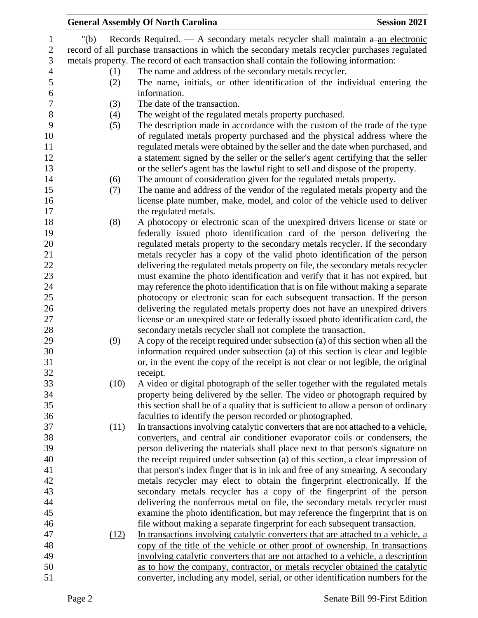|                |         | <b>General Assembly Of North Carolina</b>                                                      | <b>Session 2021</b> |
|----------------|---------|------------------------------------------------------------------------------------------------|---------------------|
| 1              | " $(b)$ | Records Required. $\overline{A}$ secondary metals recycler shall maintain $a$ -an electronic   |                     |
| $\mathbf{2}$   |         | record of all purchase transactions in which the secondary metals recycler purchases regulated |                     |
| 3              |         | metals property. The record of each transaction shall contain the following information:       |                     |
| $\overline{4}$ | (1)     | The name and address of the secondary metals recycler.                                         |                     |
| 5              | (2)     | The name, initials, or other identification of the individual entering the                     |                     |
| $\epsilon$     |         | information.                                                                                   |                     |
| $\overline{7}$ | (3)     | The date of the transaction.                                                                   |                     |
| 8              | (4)     | The weight of the regulated metals property purchased.                                         |                     |
| 9              | (5)     | The description made in accordance with the custom of the trade of the type                    |                     |
| 10             |         | of regulated metals property purchased and the physical address where the                      |                     |
| 11             |         | regulated metals were obtained by the seller and the date when purchased, and                  |                     |
| 12             |         | a statement signed by the seller or the seller's agent certifying that the seller              |                     |
| 13             |         | or the seller's agent has the lawful right to sell and dispose of the property.                |                     |
| 14             | (6)     | The amount of consideration given for the regulated metals property.                           |                     |
| 15             | (7)     | The name and address of the vendor of the regulated metals property and the                    |                     |
| 16             |         | license plate number, make, model, and color of the vehicle used to deliver                    |                     |
| 17             |         | the regulated metals.                                                                          |                     |
| 18             | (8)     | A photocopy or electronic scan of the unexpired drivers license or state or                    |                     |
| 19             |         | federally issued photo identification card of the person delivering the                        |                     |
| 20             |         | regulated metals property to the secondary metals recycler. If the secondary                   |                     |
| 21             |         | metals recycler has a copy of the valid photo identification of the person                     |                     |
| 22             |         | delivering the regulated metals property on file, the secondary metals recycler                |                     |
| 23             |         | must examine the photo identification and verify that it has not expired, but                  |                     |
| 24             |         | may reference the photo identification that is on file without making a separate               |                     |
| 25             |         | photocopy or electronic scan for each subsequent transaction. If the person                    |                     |
| 26             |         | delivering the regulated metals property does not have an unexpired drivers                    |                     |
| 27             |         | license or an unexpired state or federally issued photo identification card, the               |                     |
| 28             |         | secondary metals recycler shall not complete the transaction.                                  |                     |
| 29             | (9)     | A copy of the receipt required under subsection (a) of this section when all the               |                     |
| 30             |         | information required under subsection (a) of this section is clear and legible                 |                     |
| 31             |         | or, in the event the copy of the receipt is not clear or not legible, the original             |                     |
| 32             |         | receipt.                                                                                       |                     |
| 33             | (10)    | A video or digital photograph of the seller together with the regulated metals                 |                     |
| 34             |         | property being delivered by the seller. The video or photograph required by                    |                     |
| 35             |         | this section shall be of a quality that is sufficient to allow a person of ordinary            |                     |
| 36             |         | faculties to identify the person recorded or photographed.                                     |                     |
| 37             | (11)    | In transactions involving catalytic converters that are not attached to a vehicle,             |                     |
| 38             |         | converters, and central air conditioner evaporator coils or condensers, the                    |                     |
| 39             |         | person delivering the materials shall place next to that person's signature on                 |                     |
| 40             |         | the receipt required under subsection (a) of this section, a clear impression of               |                     |
| 41             |         | that person's index finger that is in ink and free of any smearing. A secondary                |                     |
| 42             |         | metals recycler may elect to obtain the fingerprint electronically. If the                     |                     |
| 43             |         | secondary metals recycler has a copy of the fingerprint of the person                          |                     |
| 44             |         | delivering the nonferrous metal on file, the secondary metals recycler must                    |                     |
| 45             |         | examine the photo identification, but may reference the fingerprint that is on                 |                     |
| 46             |         | file without making a separate fingerprint for each subsequent transaction.                    |                     |
| 47             | (12)    | In transactions involving catalytic converters that are attached to a vehicle, a               |                     |
| 48             |         | copy of the title of the vehicle or other proof of ownership. In transactions                  |                     |
| 49             |         | involving catalytic converters that are not attached to a vehicle, a description               |                     |
| 50             |         | as to how the company, contractor, or metals recycler obtained the catalytic                   |                     |
| 51             |         | converter, including any model, serial, or other identification numbers for the                |                     |